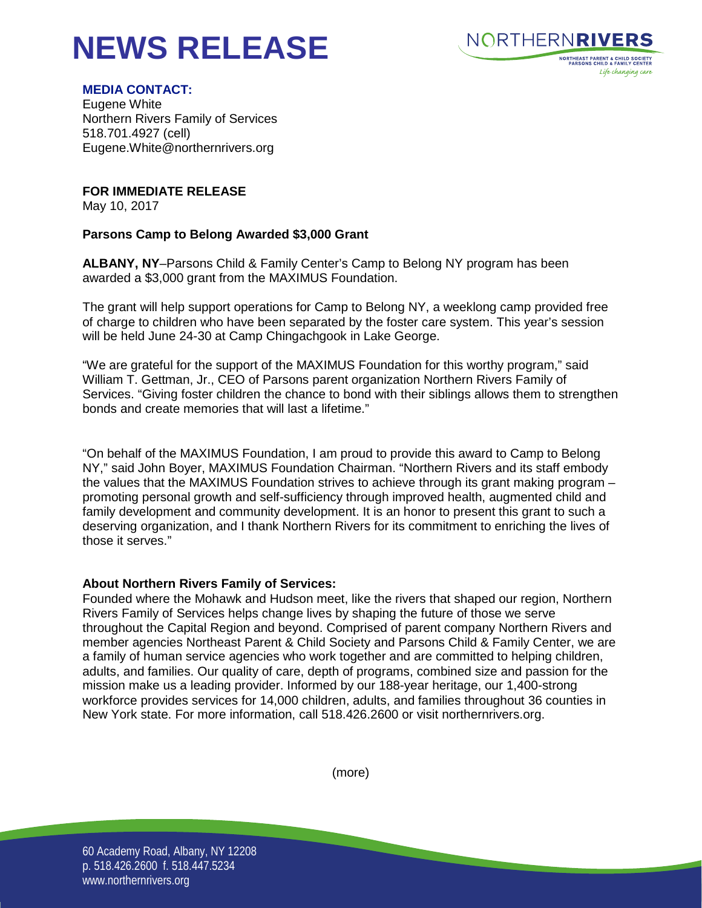# **NEWS RELEASE**



# **MEDIA CONTACT:**

Eugene White Northern Rivers Family of Services 518.701.4927 (cell) Eugene.White@northernrivers.org

**FOR IMMEDIATE RELEASE**

May 10, 2017

# **Parsons Camp to Belong Awarded \$3,000 Grant**

**ALBANY, NY**–Parsons Child & Family Center's Camp to Belong NY program has been awarded a \$3,000 grant from the MAXIMUS Foundation.

The grant will help support operations for Camp to Belong NY, a weeklong camp provided free of charge to children who have been separated by the foster care system. This year's session will be held June 24-30 at Camp Chingachgook in Lake George.

"We are grateful for the support of the MAXIMUS Foundation for this worthy program," said William T. Gettman, Jr., CEO of Parsons parent organization Northern Rivers Family of Services. "Giving foster children the chance to bond with their siblings allows them to strengthen bonds and create memories that will last a lifetime."

"On behalf of the MAXIMUS Foundation, I am proud to provide this award to Camp to Belong NY," said John Boyer, MAXIMUS Foundation Chairman. "Northern Rivers and its staff embody the values that the MAXIMUS Foundation strives to achieve through its grant making program – promoting personal growth and self-sufficiency through improved health, augmented child and family development and community development. It is an honor to present this grant to such a deserving organization, and I thank Northern Rivers for its commitment to enriching the lives of those it serves."

# **About Northern Rivers Family of Services:**

Founded where the Mohawk and Hudson meet, like the rivers that shaped our region, Northern Rivers Family of Services helps change lives by shaping the future of those we serve throughout the Capital Region and beyond. Comprised of parent company Northern Rivers and member agencies Northeast Parent & Child Society and Parsons Child & Family Center, we are a family of human service agencies who work together and are committed to helping children, adults, and families. Our quality of care, depth of programs, combined size and passion for the mission make us a leading provider. Informed by our 188-year heritage, our 1,400-strong workforce provides services for 14,000 children, adults, and families throughout 36 counties in New York state. For more information, call 518.426.2600 or visit northernrivers.org.



60 Academy Road, Albany, NY 12208 p. 518.426.2600 f. 518.447.5234 www.northernrivers.org